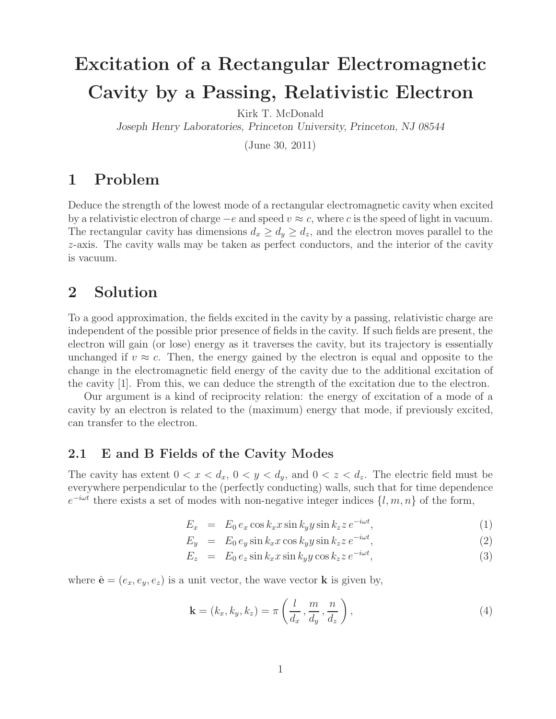# **Excitation of a Rectangular Electromagnetic Cavity by a Passing, Relativistic Electron**

Kirk T. McDonald

*Joseph Henry Laboratories, Princeton University, Princeton, NJ 08544*

(June 30, 2011)

## **1 Problem**

Deduce the strength of the lowest mode of a rectangular electromagnetic cavity when excited by a relativistic electron of charge  $-e$  and speed  $v \approx c$ , where c is the speed of light in vacuum. The rectangular cavity has dimensions  $d_x \geq d_y \geq d_z$ , and the electron moves parallel to the z-axis. The cavity walls may be taken as perfect conductors, and the interior of the cavity is vacuum.

## **2 Solution**

To a good approximation, the fields excited in the cavity by a passing, relativistic charge are independent of the possible prior presence of fields in the cavity. If such fields are present, the electron will gain (or lose) energy as it traverses the cavity, but its trajectory is essentially unchanged if  $v \approx c$ . Then, the energy gained by the electron is equal and opposite to the change in the electromagnetic field energy of the cavity due to the additional excitation of the cavity [1]. From this, we can deduce the strength of the excitation due to the electron.

Our argument is a kind of reciprocity relation: the energy of excitation of a mode of a cavity by an electron is related to the (maximum) energy that mode, if previously excited, can transfer to the electron.

### **2.1 E and B Fields of the Cavity Modes**

The cavity has extent  $0 < x < d_x$ ,  $0 < y < d_y$ , and  $0 < z < d_z$ . The electric field must be everywhere perpendicular to the (perfectly conducting) walls, such that for time dependence  $e^{-i\omega t}$  there exists a set of modes with non-negative integer indices  $\{l, m, n\}$  of the form,

$$
E_x = E_0 e_x \cos k_x x \sin k_y y \sin k_z z e^{-i\omega t}, \qquad (1)
$$

$$
E_y = E_0 e_y \sin k_x x \cos k_y y \sin k_z z e^{-i\omega t}, \qquad (2)
$$

$$
E_z = E_0 e_z \sin k_x x \sin k_y y \cos k_z z e^{-i\omega t}, \qquad (3)
$$

where  $\hat{\mathbf{e}} = (e_x, e_y, e_z)$  is a unit vector, the wave vector **k** is given by,

$$
\mathbf{k} = (k_x, k_y, k_z) = \pi \left( \frac{l}{d_x}, \frac{m}{d_y}, \frac{n}{d_z} \right),\tag{4}
$$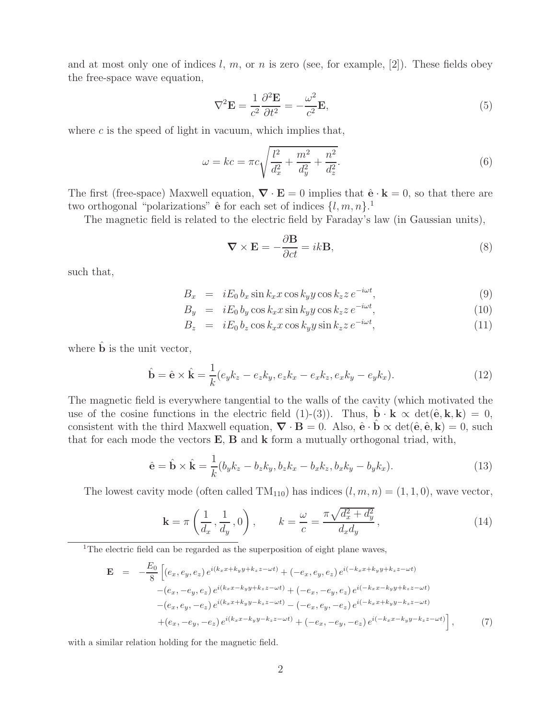and at most only one of indices l, m, or n is zero (see, for example, [2]). These fields obey the free-space wave equation,

$$
\nabla^2 \mathbf{E} = \frac{1}{c^2} \frac{\partial^2 \mathbf{E}}{\partial t^2} = -\frac{\omega^2}{c^2} \mathbf{E},\tag{5}
$$

where  $c$  is the speed of light in vacuum, which implies that,

$$
\omega = kc = \pi c \sqrt{\frac{l^2}{d_x^2} + \frac{m^2}{d_y^2} + \frac{n^2}{d_z^2}}.
$$
\n(6)

The first (free-space) Maxwell equation,  $\nabla \cdot \mathbf{E} = 0$  implies that  $\hat{\mathbf{e}} \cdot \mathbf{k} = 0$ , so that there are two orthogonal "polarizations"  $\hat{e}$  for each set of indices  $\{l, m, n\}$ <sup>1</sup>

The magnetic field is related to the electric field by Faraday's law (in Gaussian units),

$$
\nabla \times \mathbf{E} = -\frac{\partial \mathbf{B}}{\partial ct} = ik\mathbf{B},\tag{8}
$$

such that,

$$
B_x = iE_0 b_x \sin k_x x \cos k_y y \cos k_z z e^{-i\omega t}, \qquad (9)
$$

$$
B_y = iE_0 b_y \cos k_x x \sin k_y y \cos k_z z e^{-i\omega t}, \qquad (10)
$$

$$
B_z = iE_0 b_z \cos k_x x \cos k_y y \sin k_z z e^{-i\omega t}, \qquad (11)
$$

where **b** is the unit vector,

$$
\hat{\mathbf{b}} = \hat{\mathbf{e}} \times \hat{\mathbf{k}} = \frac{1}{k} (e_y k_z - e_z k_y, e_z k_x - e_x k_z, e_x k_y - e_y k_x).
$$
\n(12)

The magnetic field is everywhere tangential to the walls of the cavity (which motivated the use of the cosine functions in the electric field (1)-(3)). Thus,  $\mathbf{b} \cdot \mathbf{k} \propto \det(\hat{\mathbf{e}}, \mathbf{k}, \mathbf{k}) = 0$ , consistent with the third Maxwell equation,  $\nabla \cdot \mathbf{B} = 0$ . Also,  $\hat{\mathbf{e}} \cdot \mathbf{b} \propto \det(\hat{\mathbf{e}}, \hat{\mathbf{e}}, \mathbf{k}) = 0$ , such that for each mode the vectors **E**, **B** and **k** form a mutually orthogonal triad, with,

$$
\hat{\mathbf{e}} = \hat{\mathbf{b}} \times \hat{\mathbf{k}} = \frac{1}{k} (b_y k_z - b_z k_y, b_z k_x - b_x k_z, b_x k_y - b_y k_x).
$$
\n(13)

The lowest cavity mode (often called  $TM_{110}$ ) has indices  $(l, m, n) = (1, 1, 0)$ , wave vector,

$$
\mathbf{k} = \pi \left( \frac{1}{d_x}, \frac{1}{d_y}, 0 \right), \qquad k = \frac{\omega}{c} = \frac{\pi \sqrt{d_x^2 + d_y^2}}{d_x d_y}, \tag{14}
$$

<sup>1</sup>The electric field can be regarded as the superposition of eight plane waves,

$$
\mathbf{E} = -\frac{E_0}{8} \left[ (e_x, e_y, e_z) e^{i(k_x x + k_y y + k_z z - \omega t)} + (-e_x, e_y, e_z) e^{i(-k_x x + k_y y + k_z z - \omega t)} - (e_x, -e_y, e_z) e^{i(k_x x - k_y y + k_z z - \omega t)} + (-e_x, -e_y, e_z) e^{i(-k_x x - k_y y + k_z z - \omega t)} - (e_x, e_y, -e_z) e^{i(k_x x + k_y y - k_z z - \omega t)} - (-e_x, e_y, -e_z) e^{i(-k_x x + k_y y - k_z z - \omega t)} + (e_x, -e_y, -e_z) e^{i(k_x x - k_y y - k_z z - \omega t)} + (-e_x, -e_y, -e_z) e^{i(-k_x x - k_y y - k_z z - \omega t)} \right],
$$
\n(7)

with a similar relation holding for the magnetic field.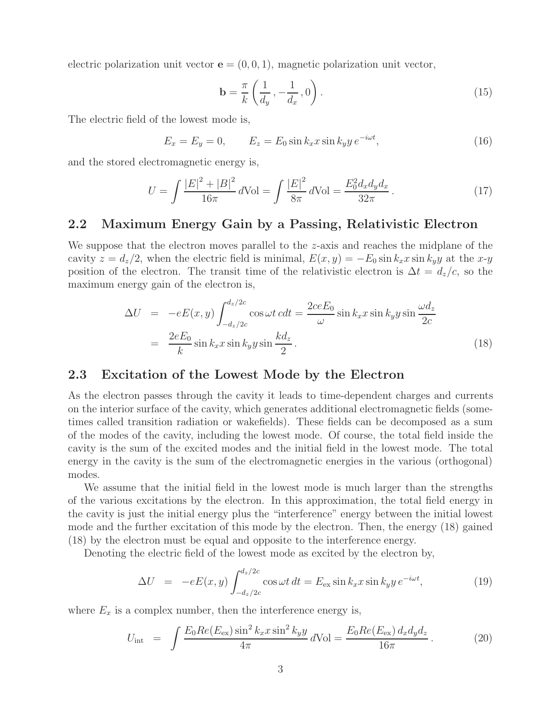electric polarization unit vector  $\mathbf{e} = (0, 0, 1)$ , magnetic polarization unit vector,

$$
\mathbf{b} = \frac{\pi}{k} \left( \frac{1}{d_y}, -\frac{1}{d_x}, 0 \right). \tag{15}
$$

The electric field of the lowest mode is,

$$
E_x = E_y = 0, \qquad E_z = E_0 \sin k_x x \sin k_y y \, e^{-i\omega t}, \tag{16}
$$

and the stored electromagnetic energy is,

$$
U = \int \frac{|E|^2 + |B|^2}{16\pi} d\text{Vol} = \int \frac{|E|^2}{8\pi} d\text{Vol} = \frac{E_0^2 d_x d_y d_x}{32\pi}.
$$
 (17)

#### **2.2 Maximum Energy Gain by a Passing, Relativistic Electron**

We suppose that the electron moves parallel to the  $z$ -axis and reaches the midplane of the cavity  $z = d_z/2$ , when the electric field is minimal,  $E(x, y) = -E_0 \sin k_x x \sin k_y y$  at the x-y position of the electron. The transit time of the relativistic electron is  $\Delta t = d_z/c$ , so the maximum energy gain of the electron is,

$$
\Delta U = -eE(x, y) \int_{-d_z/2c}^{d_z/2c} \cos \omega t \, c dt = \frac{2ceE_0}{\omega} \sin k_x x \sin k_y y \sin \frac{\omega d_z}{2c}
$$

$$
= \frac{2eE_0}{k} \sin k_x x \sin k_y y \sin \frac{kd_z}{2} \,. \tag{18}
$$

#### **2.3 Excitation of the Lowest Mode by the Electron**

As the electron passes through the cavity it leads to time-dependent charges and currents on the interior surface of the cavity, which generates additional electromagnetic fields (sometimes called transition radiation or wakefields). These fields can be decomposed as a sum of the modes of the cavity, including the lowest mode. Of course, the total field inside the cavity is the sum of the excited modes and the initial field in the lowest mode. The total energy in the cavity is the sum of the electromagnetic energies in the various (orthogonal) modes.

We assume that the initial field in the lowest mode is much larger than the strengths of the various excitations by the electron. In this approximation, the total field energy in the cavity is just the initial energy plus the "interference" energy between the initial lowest mode and the further excitation of this mode by the electron. Then, the energy (18) gained (18) by the electron must be equal and opposite to the interference energy.

Denoting the electric field of the lowest mode as excited by the electron by,

$$
\Delta U = -eE(x, y) \int_{-d_z/2c}^{d_z/2c} \cos \omega t \, dt = E_{\text{ex}} \sin k_x x \sin k_y y \, e^{-i\omega t}, \tag{19}
$$

where  $E_x$  is a complex number, then the interference energy is,

$$
U_{\rm int} = \int \frac{E_0 Re(E_{\rm ex}) \sin^2 k_x x \sin^2 k_y y}{4\pi} d\text{Vol} = \frac{E_0 Re(E_{\rm ex}) d_x d_y d_z}{16\pi}.
$$
 (20)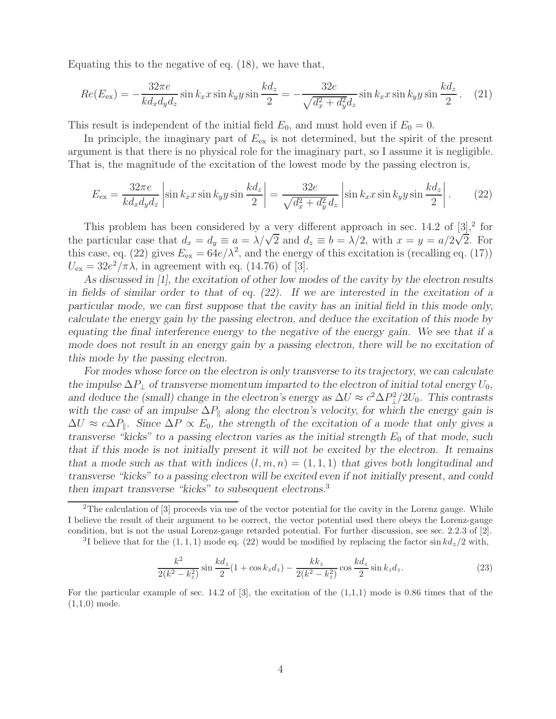Equating this to the negative of eq. (18), we have that,

$$
Re(E_{\rm ex}) = -\frac{32\pi e}{kd_x d_y d_z} \sin k_x x \sin k_y y \sin \frac{kd_z}{2} = -\frac{32e}{\sqrt{d_x^2 + d_y^2 d_z}} \sin k_x x \sin k_y y \sin \frac{kd_z}{2} \,. \tag{21}
$$

This result is independent of the initial field  $E_0$ , and must hold even if  $E_0 = 0$ .

In principle, the imaginary part of  $E_{\text{ex}}$  is not determined, but the spirit of the present argument is that there is no physical role for the imaginary part, so I assume it is negligible. That is, the magnitude of the excitation of the lowest mode by the passing electron is,

$$
E_{\text{ex}} = \frac{32\pi e}{kd_x d_y d_z} \left| \sin k_x x \sin k_y y \sin \frac{kd_z}{2} \right| = \frac{32e}{\sqrt{d_x^2 + d_y^2 d_z}} \left| \sin k_x x \sin k_y y \sin \frac{kd_z}{2} \right|.
$$
 (22)

This problem has been considered by a very different approach in sec. 14.2 of  $[3],^2$  for This problem has been considered by a very different approach in sec. 14.2 or [5], for<br>the particular case that  $d_x = d_y \equiv a = \lambda/\sqrt{2}$  and  $d_z \equiv b = \lambda/2$ , with  $x = y = a/2\sqrt{2}$ . For this case, eq. (22) gives  $E_{\text{ex}} = 64e/\lambda^2$ , and the energy of this excitation is (recalling eq. (17))  $U_{\text{ex}} = 32e^2/\pi\lambda$ , in agreement with eq. (14.76) of [3].

*As discussed in [1], the excitation of other low modes of the cavity by the electron results in fields of similar order to that of eq. (22). If we are interested in the excitation of a particular mode, we can first suppose that the cavity has an initial field in this mode only, calculate the energy gain by the passing electron, and deduce the excitation of this mode by equating the final interference energy to the negative of the energy gain. We see that if a mode does not result in an energy gain by a passing electron, there will be no excitation of this mode by the passing electron.*

*For modes whose force on the electron is only transverse to its trajectory, we can calculate the impulse*  $\Delta P_{\perp}$  *of transverse momentum imparted to the electron of initial total energy*  $U_0$ , and deduce the (small) change in the electron's energy as  $\Delta U \approx c^2 \Delta P_{\perp}^2 / 2U_0$ . This contrasts with the case of an impulse  $\Delta P_{\parallel}$  along the electron's velocity, for which the energy gain is  $\Delta U \approx c \Delta P_{\parallel}$ . Since  $\Delta P \propto E_0$ , the strength of the excitation of a mode that only gives a *transverse "kicks" to a passing electron varies as the initial strength*  $E_0$  *of that mode, such that if this mode is not initially present it will not be excited by the electron. It remains that a mode such as that with indices*  $(l, m, n) = (1, 1, 1)$  *that gives both longitudinal and transverse "kicks" to a passing electron will be excited even if not initially present, and could then impart transverse "kicks" to subsequent electrons.*<sup>3</sup>

<sup>3</sup>I believe that for the  $(1, 1, 1)$  mode eq. (22) would be modified by replacing the factor sin  $k d_z/2$  with,

$$
\frac{k^2}{2(k^2 - k_z^2)} \sin \frac{kd_z}{2} (1 + \cos k_z d_z) - \frac{k k_z}{2(k^2 - k_z^2)} \cos \frac{kd_z}{2} \sin k_z d_z.
$$
 (23)

<sup>&</sup>lt;sup>2</sup>The calculation of  $[3]$  proceeds via use of the vector potential for the cavity in the Lorenz gauge. While I believe the result of their argument to be correct, the vector potential used there obeys the Lorenz-gauge condition, but is not the usual Lorenz-gauge retarded potential. For further discussion, see sec. 2.2.3 of [2].

For the particular example of sec. 14.2 of  $[3]$ , the excitation of the  $(1,1,1)$  mode is 0.86 times that of the  $(1,1,0)$  mode.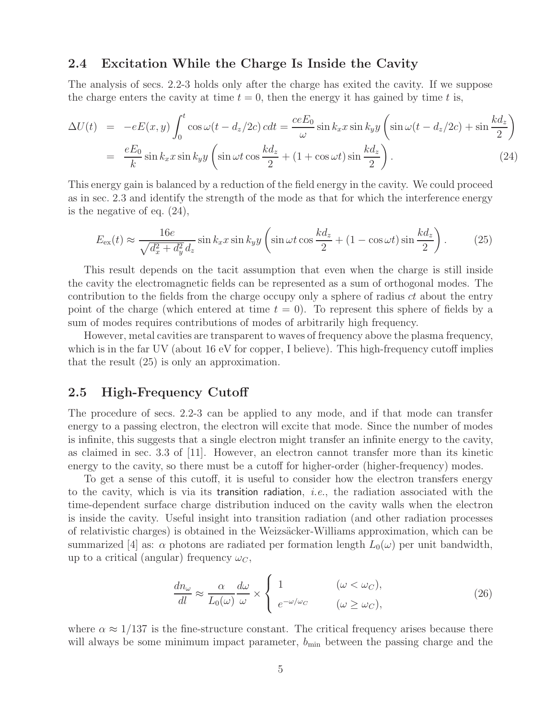#### **2.4 Excitation While the Charge Is Inside the Cavity**

The analysis of secs. 2.2-3 holds only after the charge has exited the cavity. If we suppose the charge enters the cavity at time  $t = 0$ , then the energy it has gained by time t is,

$$
\Delta U(t) = -eE(x, y) \int_0^t \cos \omega (t - d_z/2c) \, c dt = \frac{ceE_0}{\omega} \sin k_x x \sin k_y y \left( \sin \omega (t - d_z/2c) + \sin \frac{kd_z}{2} \right)
$$
\n
$$
= \frac{eE_0}{k} \sin k_x x \sin k_y y \left( \sin \omega t \cos \frac{kd_z}{2} + (1 + \cos \omega t) \sin \frac{kd_z}{2} \right). \tag{24}
$$

This energy gain is balanced by a reduction of the field energy in the cavity. We could proceed as in sec. 2.3 and identify the strength of the mode as that for which the interference energy is the negative of eq. (24),

$$
E_{\text{ex}}(t) \approx \frac{16e}{\sqrt{d_x^2 + d_y^2} d_z} \sin k_x x \sin k_y y \left( \sin \omega t \cos \frac{k dz}{2} + (1 - \cos \omega t) \sin \frac{k dz}{2} \right). \tag{25}
$$

This result depends on the tacit assumption that even when the charge is still inside the cavity the electromagnetic fields can be represented as a sum of orthogonal modes. The contribution to the fields from the charge occupy only a sphere of radius  $ct$  about the entry point of the charge (which entered at time  $t = 0$ ). To represent this sphere of fields by a sum of modes requires contributions of modes of arbitrarily high frequency.

However, metal cavities are transparent to waves of frequency above the plasma frequency, which is in the far UV (about 16 eV for copper, I believe). This high-frequency cutoff implies that the result (25) is only an approximation.

#### **2.5 High-Frequency Cutoff**

The procedure of secs. 2.2-3 can be applied to any mode, and if that mode can transfer energy to a passing electron, the electron will excite that mode. Since the number of modes is infinite, this suggests that a single electron might transfer an infinite energy to the cavity, as claimed in sec. 3.3 of [11]. However, an electron cannot transfer more than its kinetic energy to the cavity, so there must be a cutoff for higher-order (higher-frequency) modes.

To get a sense of this cutoff, it is useful to consider how the electron transfers energy to the cavity, which is via its transition radiation, *i.e.*, the radiation associated with the time-dependent surface charge distribution induced on the cavity walls when the electron is inside the cavity. Useful insight into transition radiation (and other radiation processes of relativistic charges) is obtained in the Weizsäcker-Williams approximation, which can be summarized [4] as:  $\alpha$  photons are radiated per formation length  $L_0(\omega)$  per unit bandwidth, up to a critical (angular) frequency  $\omega_C$ ,

$$
\frac{dn_{\omega}}{dl} \approx \frac{\alpha}{L_0(\omega)} \frac{d\omega}{\omega} \times \begin{cases} 1 & (\omega < \omega_C), \\ e^{-\omega/\omega_C} & (\omega \ge \omega_C), \end{cases}
$$
(26)

where  $\alpha \approx 1/137$  is the fine-structure constant. The critical frequency arises because there will always be some minimum impact parameter,  $b_{\min}$  between the passing charge and the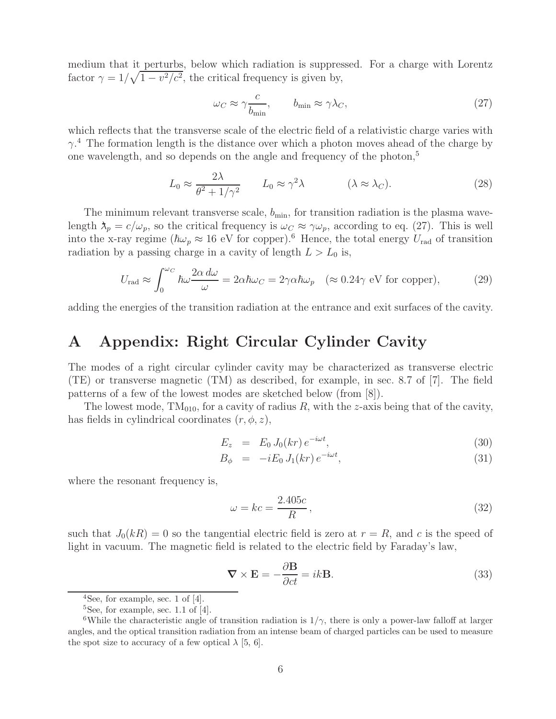medium that it perturbs, below which radiation is suppressed. For a charge with Lorentz factor  $\gamma = 1/\sqrt{1 - v^2/c^2}$ , the critical frequency is given by,

$$
\omega_C \approx \gamma \frac{c}{b_{\min}}, \qquad b_{\min} \approx \gamma \lambda_C, \tag{27}
$$

which reflects that the transverse scale of the electric field of a relativistic charge varies with  $\gamma$ <sup>4</sup>. The formation length is the distance over which a photon moves ahead of the charge by one wavelength, and so depends on the angle and frequency of the photon,<sup>5</sup>

$$
L_0 \approx \frac{2\lambda}{\theta^2 + 1/\gamma^2} \qquad L_0 \approx \gamma^2 \lambda \qquad (\lambda \approx \lambda_C). \tag{28}
$$

The minimum relevant transverse scale,  $b_{\min}$ , for transition radiation is the plasma wavelength  $\lambda_p = c/\omega_p$ , so the critical frequency is  $\omega_C \approx \gamma \omega_p$ , according to eq. (27). This is well into the x-ray regime ( $\hbar\omega_p \approx 16$  eV for copper).<sup>6</sup> Hence, the total energy  $U_{\text{rad}}$  of transition radiation by a passing charge in a cavity of length  $L>L_0$  is,

$$
U_{\rm rad} \approx \int_0^{\omega_C} \hbar \omega \frac{2\alpha \, d\omega}{\omega} = 2\alpha \hbar \omega_C = 2\gamma \alpha \hbar \omega_p \quad (\approx 0.24 \gamma \text{ eV for copper}), \tag{29}
$$

adding the energies of the transition radiation at the entrance and exit surfaces of the cavity.

## **A Appendix: Right Circular Cylinder Cavity**

The modes of a right circular cylinder cavity may be characterized as transverse electric (TE) or transverse magnetic (TM) as described, for example, in sec. 8.7 of [7]. The field patterns of a few of the lowest modes are sketched below (from [8]).

The lowest mode,  $TM<sub>010</sub>$ , for a cavity of radius R, with the z-axis being that of the cavity, has fields in cylindrical coordinates  $(r, \phi, z)$ ,

$$
E_z = E_0 J_0(kr) e^{-i\omega t}, \qquad (30)
$$

$$
B_{\phi} = -iE_0 J_1(kr) e^{-i\omega t}, \qquad (31)
$$

where the resonant frequency is,

$$
\omega = kc = \frac{2.405c}{R},\tag{32}
$$

such that  $J_0(kR) = 0$  so the tangential electric field is zero at  $r = R$ , and c is the speed of light in vacuum. The magnetic field is related to the electric field by Faraday's law,

$$
\nabla \times \mathbf{E} = -\frac{\partial \mathbf{B}}{\partial ct} = ik \mathbf{B}.
$$
 (33)

 $4$ See, for example, sec. 1 of [4].

<sup>&</sup>lt;sup>5</sup>See, for example, sec. 1.1 of  $[4]$ .

<sup>&</sup>lt;sup>6</sup>While the characteristic angle of transition radiation is  $1/\gamma$ , there is only a power-law falloff at larger angles, and the optical transition radiation from an intense beam of charged particles can be used to measure the spot size to accuracy of a few optical  $\lambda$  [5, 6].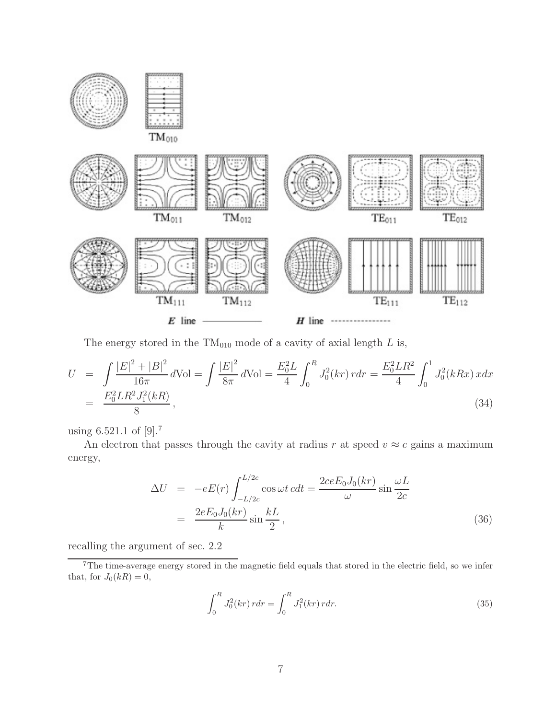

The energy stored in the  $TM<sub>010</sub>$  mode of a cavity of axial length L is,

$$
U = \int \frac{|E|^2 + |B|^2}{16\pi} d\text{Vol} = \int \frac{|E|^2}{8\pi} d\text{Vol} = \frac{E_0^2 L}{4} \int_0^R J_0^2(kr) \, r dr = \frac{E_0^2 L R^2}{4} \int_0^1 J_0^2(kRx) \, x dx
$$
\n
$$
= \frac{E_0^2 L R^2 J_1^2(kR)}{8},\tag{34}
$$

using 6.521.1 of [9].<sup>7</sup>

An electron that passes through the cavity at radius r at speed  $v \approx c$  gains a maximum energy,

$$
\Delta U = -eE(r) \int_{-L/2c}^{L/2c} \cos \omega t \, c dt = \frac{2ceE_0 J_0(kr)}{\omega} \sin \frac{\omega L}{2c}
$$

$$
= \frac{2eE_0 J_0(kr)}{k} \sin \frac{kL}{2}, \tag{36}
$$

recalling the argument of sec. 2.2

$$
\int_0^R J_0^2(kr) \, r dr = \int_0^R J_1^2(kr) \, r dr. \tag{35}
$$

<sup>7</sup>The time-average energy stored in the magnetic field equals that stored in the electric field, so we infer that, for  $J_0(kR) = 0$ ,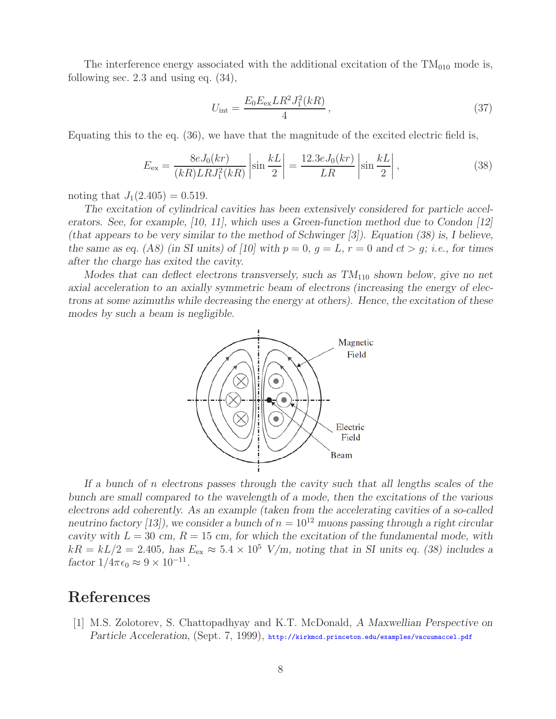The interference energy associated with the additional excitation of the  $TM_{010}$  mode is, following sec. 2.3 and using eq. (34),

$$
U_{\rm int} = \frac{E_0 E_{\rm ex} L R^2 J_1^2(kR)}{4},\tag{37}
$$

Equating this to the eq. (36), we have that the magnitude of the excited electric field is,

$$
E_{\rm ex} = \frac{8eJ_0(kr)}{(kR)LRJ_1^2(kR)} \left| \sin \frac{kL}{2} \right| = \frac{12.3eJ_0(kr)}{LR} \left| \sin \frac{kL}{2} \right|,
$$
\n(38)

noting that  $J_1(2.405) = 0.519$ .

*The excitation of cylindrical cavities has been extensively considered for particle accelerators. See, for example, [10, 11], which uses a Green-function method due to Condon [12] (that appears to be very similar to the method of Schwinger [3]). Equation (38) is, I believe, the same as eq.* (A8) (in SI units) of [10] with  $p = 0$ ,  $q = L$ ,  $r = 0$  and  $ct > q$ ; *i.e.*, for times *after the charge has exited the cavity.*

*Modes that can deflect electrons transversely, such as TM*<sub>110</sub> *shown below, give no net axial acceleration to an axially symmetric beam of electrons (increasing the energy of electrons at some azimuths while decreasing the energy at others). Hence, the excitation of these modes by such a beam is negligible.*



*If a bunch of* n *electrons passes through the cavity such that all lengths scales of the bunch are small compared to the wavelength of a mode, then the excitations of the various electrons add coherently. As an example (taken from the accelerating cavities of a so-called neutrino factory [13]), we consider a bunch of*  $n = 10^{12}$  *muons passing through a right circular cavity with*  $L = 30$  *cm,*  $R = 15$  *cm,* for which the excitation of the fundamental mode, with  $kR = kL/2 = 2.405$ , has  $E_{ex} \approx 5.4 \times 10^5$  V/m, noting that in SI units eq. (38) includes a *factor*  $1/4\pi\epsilon_0 \approx 9 \times 10^{-11}$ .

## **References**

[1] M.S. Zolotorev, S. Chattopadhyay and K.T. McDonald, *A Maxwellian Perspective on Particle Acceleration*, (Sept. 7, 1999), http://kirkmcd.princeton.edu/examples/vacuumaccel.pdf